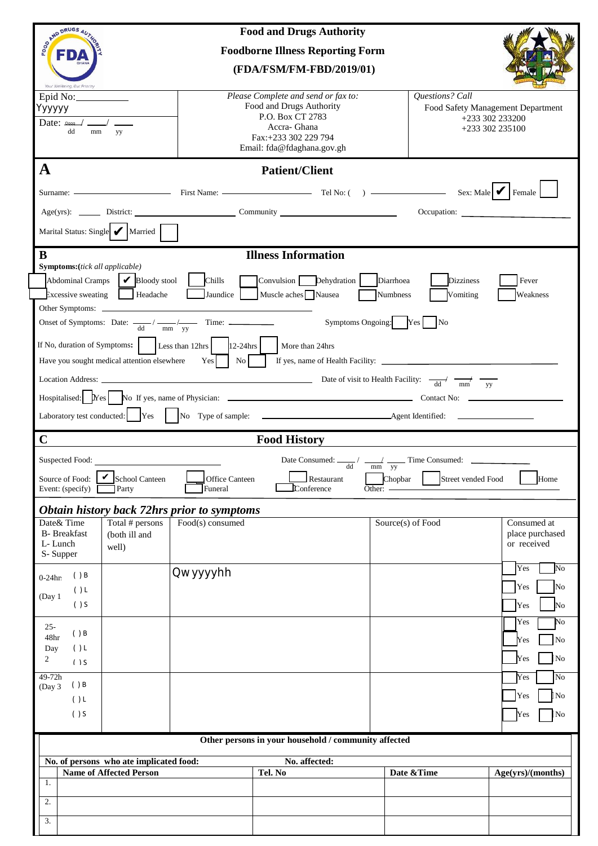| SORNAD DRUGS AUT<br><b>Food and Drugs Authority</b>                                                                                                                                    |                                                                                                                                                           |                                                              |                                                                         |  |
|----------------------------------------------------------------------------------------------------------------------------------------------------------------------------------------|-----------------------------------------------------------------------------------------------------------------------------------------------------------|--------------------------------------------------------------|-------------------------------------------------------------------------|--|
| FDA                                                                                                                                                                                    | <b>Foodborne Illness Reporting Form</b>                                                                                                                   |                                                              |                                                                         |  |
|                                                                                                                                                                                        | (FDA/FSM/FM-FBD/2019/01)                                                                                                                                  |                                                              |                                                                         |  |
| Your Wellbeing, Our Priority<br>Epid No: $\_\_\_\_\_\_\_\_\_\_\_\_\_\_\_\_\_\_$<br>Үууууу<br>Date: $\Box$<br>dd<br>mm<br>yy                                                            | Please Complete and send or fax to:<br>Food and Drugs Authority<br>P.O. Box CT 2783<br>Accra- Ghana<br>Fax:+233 302 229 794<br>Email: fda@fdaghana.gov.gh | Questions? Call                                              | Food Safety Management Department<br>+233 302 233200<br>+233 302 235100 |  |
| $\mathbf A$                                                                                                                                                                            | <b>Patient/Client</b>                                                                                                                                     |                                                              |                                                                         |  |
| Surname: Surname: Sex: Male   First Name: Tel No: () Sex: Male   Female                                                                                                                |                                                                                                                                                           |                                                              |                                                                         |  |
|                                                                                                                                                                                        |                                                                                                                                                           |                                                              | Occupation:                                                             |  |
| Marital Status: Single Married                                                                                                                                                         |                                                                                                                                                           |                                                              |                                                                         |  |
| $\bf{B}$<br><b>Illness Information</b>                                                                                                                                                 |                                                                                                                                                           |                                                              |                                                                         |  |
| <b>Symptoms:</b> (tick all applicable)<br>Abdominal Cramps   Bloody stool   Chills<br>$\exists$ xcessive sweating Headache                                                             | Convulsion Dehydration<br>Jaundice Muscle aches Nausea                                                                                                    | Diarrhoea<br><b>Dizziness</b><br><b>Numbress</b><br>Vomiting | Fever<br>Weakness                                                       |  |
| Symptoms Ongoing: Yes No<br>Onset of Symptoms: Date: $\frac{d}{d}$ / $\frac{d}{m}$ / $\frac{d}{dy}$ Time:                                                                              |                                                                                                                                                           |                                                              |                                                                         |  |
| If No, duration of Symptoms: $\vert$ [Less than 12hrs $\vert$ 12-24hrs $\vert$<br>More than 24hrs                                                                                      |                                                                                                                                                           |                                                              |                                                                         |  |
| Have you sought medical attention elsewhere Yes   No   If yes, name of Health Facility:                                                                                                |                                                                                                                                                           |                                                              |                                                                         |  |
|                                                                                                                                                                                        |                                                                                                                                                           |                                                              |                                                                         |  |
|                                                                                                                                                                                        |                                                                                                                                                           |                                                              |                                                                         |  |
| $\mathbf C$<br><b>Food History</b>                                                                                                                                                     |                                                                                                                                                           |                                                              |                                                                         |  |
| Date Consumed: $\frac{d}{d}$ / $\frac{d}{d}$ Time Consumed: $\frac{d}{d}$                                                                                                              |                                                                                                                                                           |                                                              |                                                                         |  |
| V<br>Source of Food:<br>School Canteen<br>Home<br><b>Office Canteen</b><br>Restaurant<br>Chopbar<br>Street vended Food<br>Funeral<br>Conference<br>Event: (specify)<br>Party<br>Other: |                                                                                                                                                           |                                                              |                                                                         |  |
| Obtain history back 72hrs prior to symptoms                                                                                                                                            |                                                                                                                                                           |                                                              |                                                                         |  |
| Date& Time<br>Total # persons<br><b>B-</b> Breakfast<br>(both ill and<br>L-Lunch<br>well)<br>S-Supper                                                                                  | Food(s) consumed                                                                                                                                          | Source(s) of Food                                            | Consumed at<br>place purchased<br>or received                           |  |
| ( ) B<br>$0-24$ hr<br>() L<br>(Day 1                                                                                                                                                   | Qwyyyyhh                                                                                                                                                  |                                                              | Yes<br>No<br>Yes<br>No                                                  |  |
| $( )$ S                                                                                                                                                                                |                                                                                                                                                           |                                                              | Yes<br>No<br>No<br>Yes                                                  |  |
| $25 -$<br>( ) B<br>48hr<br>()L<br>Day                                                                                                                                                  |                                                                                                                                                           |                                                              | No<br>Yes                                                               |  |
| 2<br>$( )$ S                                                                                                                                                                           |                                                                                                                                                           |                                                              | No<br>Yes                                                               |  |
| 49-72h<br>( ) B<br>(Day 3<br>() L                                                                                                                                                      |                                                                                                                                                           |                                                              | N <sub>o</sub><br>Yes<br>N <sub>o</sub><br>Yes                          |  |
| $( )$ S                                                                                                                                                                                |                                                                                                                                                           |                                                              | No<br>Yes                                                               |  |
| Other persons in your household / community affected                                                                                                                                   |                                                                                                                                                           |                                                              |                                                                         |  |
| No. of persons who ate implicated food:                                                                                                                                                | No. affected:                                                                                                                                             |                                                              |                                                                         |  |
| <b>Name of Affected Person</b><br>1.                                                                                                                                                   | Tel. No                                                                                                                                                   | Date & Time                                                  | Age(yrs)/(months)                                                       |  |
| 2.                                                                                                                                                                                     |                                                                                                                                                           |                                                              |                                                                         |  |
|                                                                                                                                                                                        |                                                                                                                                                           |                                                              |                                                                         |  |
| 3.                                                                                                                                                                                     | $\bullet$ a                                                                                                                                               |                                                              |                                                                         |  |